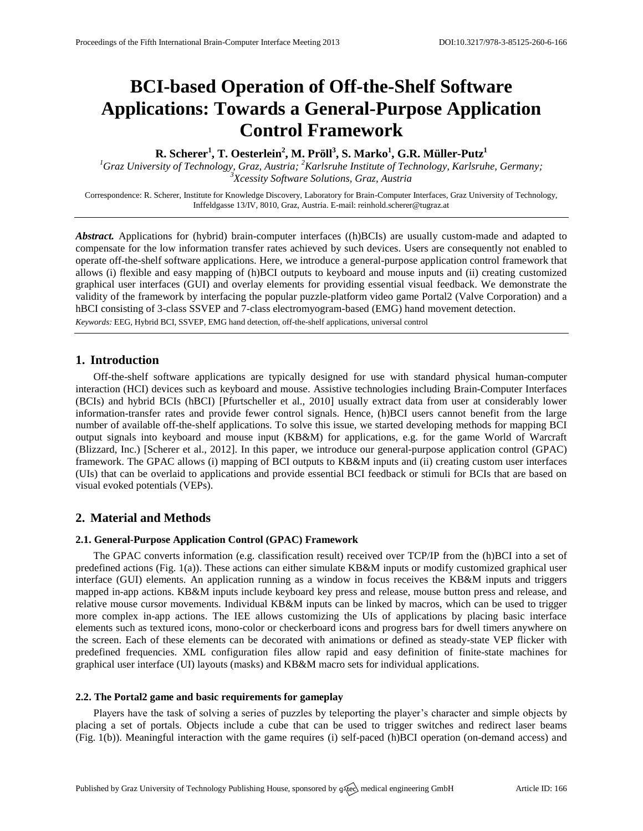# **BCI-based Operation of Off-the-Shelf Software Applications: Towards a General-Purpose Application Control Framework**

**R. Scherer<sup>1</sup> , T. Oesterlein<sup>2</sup> , M. Pröll<sup>3</sup> , S. Marko<sup>1</sup> , G.R. Müller-Putz<sup>1</sup>**

<sup>1</sup>Graz University of Technology, Graz, Austria; <sup>2</sup>Karlsruhe Institute of Technology, Karlsruhe, Germany; *<sup>3</sup>Xcessity Software Solutions, Graz, Austria*

Correspondence: R. Scherer, Institute for Knowledge Discovery, Laboratory for Brain-Computer Interfaces, Graz University of Technology, Inffeldgasse 13/IV, 8010, Graz, Austria. E-mail[: reinhold.scherer@tugraz.at](mailto:reinhold.scherer@tugraz.at)

*Abstract.* Applications for (hybrid) brain-computer interfaces ((h)BCIs) are usually custom-made and adapted to compensate for the low information transfer rates achieved by such devices. Users are consequently not enabled to operate off-the-shelf software applications. Here, we introduce a general-purpose application control framework that allows (i) flexible and easy mapping of (h)BCI outputs to keyboard and mouse inputs and (ii) creating customized graphical user interfaces (GUI) and overlay elements for providing essential visual feedback. We demonstrate the validity of the framework by interfacing the popular puzzle-platform video game Portal2 (Valve Corporation) and a hBCI consisting of 3-class SSVEP and 7-class electromyogram-based (EMG) hand movement detection. *Keywords:* EEG, Hybrid BCI, SSVEP, EMG hand detection, off-the-shelf applications, universal control

## **1. Introduction**

Off-the-shelf software applications are typically designed for use with standard physical human-computer interaction (HCI) devices such as keyboard and mouse. Assistive technologies including Brain-Computer Interfaces (BCIs) and hybrid BCIs (hBCI) [Pfurtscheller et al., 2010] usually extract data from user at considerably lower information-transfer rates and provide fewer control signals. Hence, (h)BCI users cannot benefit from the large number of available off-the-shelf applications. To solve this issue, we started developing methods for mapping BCI output signals into keyboard and mouse input (KB&M) for applications, e.g. for the game World of Warcraft (Blizzard, Inc.) [Scherer et al., 2012]. In this paper, we introduce our general-purpose application control (GPAC) framework. The GPAC allows (i) mapping of BCI outputs to KB&M inputs and (ii) creating custom user interfaces (UIs) that can be overlaid to applications and provide essential BCI feedback or stimuli for BCIs that are based on visual evoked potentials (VEPs).

## **2. Material and Methods**

#### **2.1. General-Purpose Application Control (GPAC) Framework**

The GPAC converts information (e.g. classification result) received over TCP/IP from the (h)BCI into a set of predefined actions (Fig. 1(a)). These actions can either simulate KB&M inputs or modify customized graphical user interface (GUI) elements. An application running as a window in focus receives the KB&M inputs and triggers mapped in-app actions. KB&M inputs include keyboard key press and release, mouse button press and release, and relative mouse cursor movements. Individual KB&M inputs can be linked by macros, which can be used to trigger more complex in-app actions. The IEE allows customizing the UIs of applications by placing basic interface elements such as textured icons, mono-color or checkerboard icons and progress bars for dwell timers anywhere on the screen. Each of these elements can be decorated with animations or defined as steady-state VEP flicker with predefined frequencies. XML configuration files allow rapid and easy definition of finite-state machines for graphical user interface (UI) layouts (masks) and KB&M macro sets for individual applications.

#### **2.2. The Portal2 game and basic requirements for gameplay**

Players have the task of solving a series of puzzles by teleporting the player's character and simple objects by placing a set of portals. Objects include a cube that can be used to trigger switches and redirect laser beams (Fig. 1(b)). Meaningful interaction with the game requires (i) self-paced (h)BCI operation (on-demand access) and